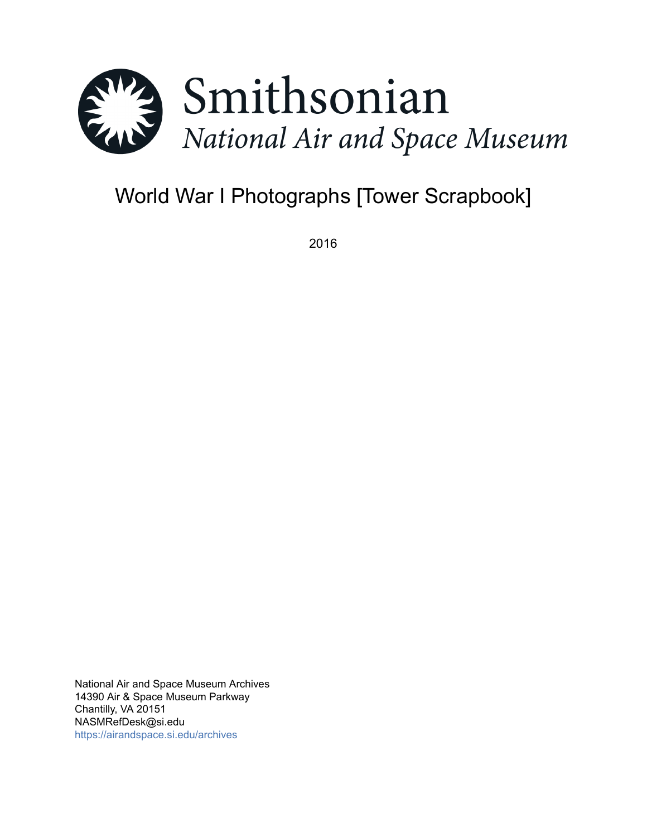

# World War I Photographs [Tower Scrapbook]

2016

National Air and Space Museum Archives 14390 Air & Space Museum Parkway Chantilly, VA 20151 NASMRefDesk@si.edu <https://airandspace.si.edu/archives>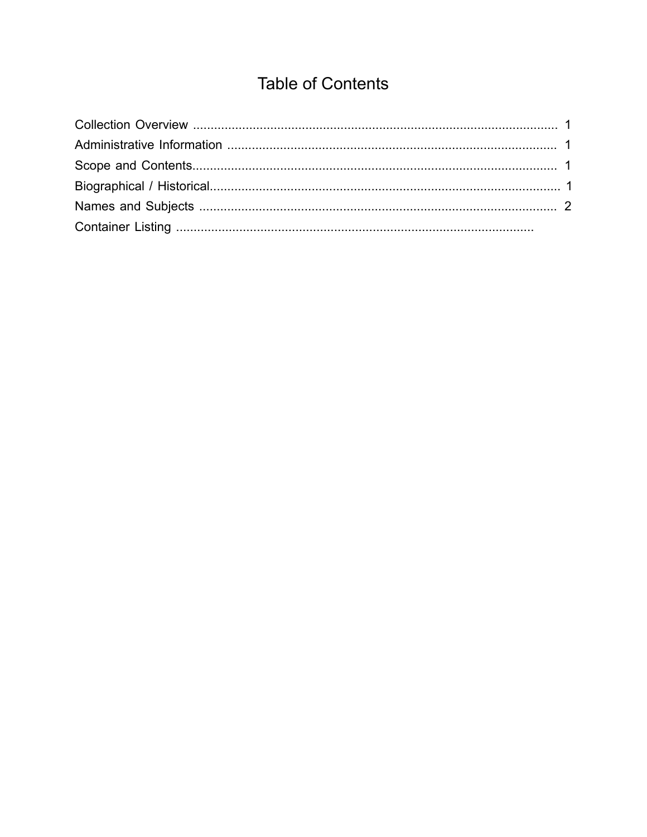# **Table of Contents**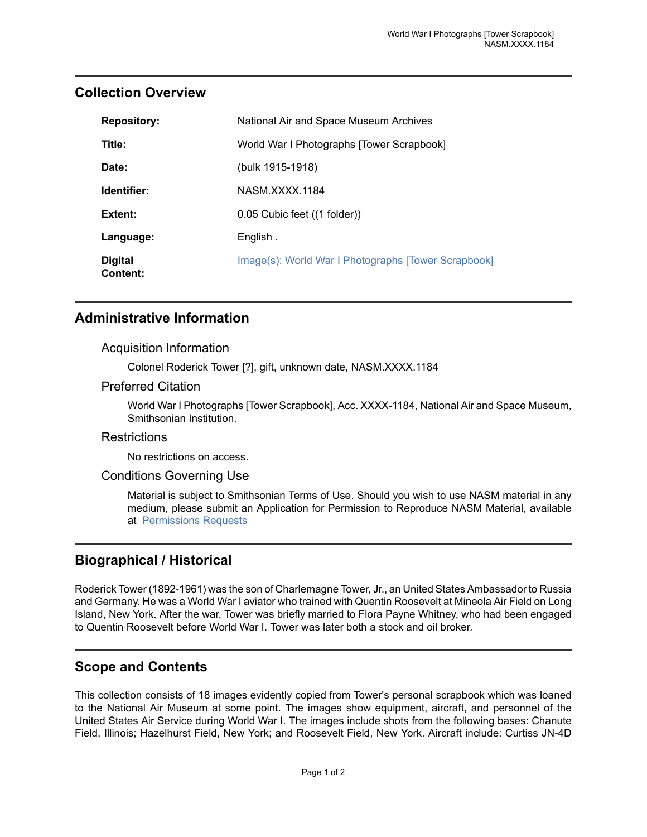| <b>Repository:</b>         | National Air and Space Museum Archives              |
|----------------------------|-----------------------------------------------------|
| Title:                     | World War I Photographs [Tower Scrapbook]           |
| Date:                      | (bulk 1915-1918)                                    |
| Identifier:                | NASM XXXX 1184                                      |
| Extent:                    | 0.05 Cubic feet ((1 folder))                        |
| Language:                  | English.                                            |
| <b>Digital</b><br>Content: | Image(s): World War I Photographs [Tower Scrapbook] |

### <span id="page-2-0"></span>**Collection Overview**

# <span id="page-2-1"></span>**Administrative Information**

#### Acquisition Information

Colonel Roderick Tower [?], gift, unknown date, NASM.XXXX.1184

#### Preferred Citation

World War I Photographs [Tower Scrapbook], Acc. XXXX-1184, National Air and Space Museum, Smithsonian Institution.

#### **Restrictions**

No restrictions on access.

#### Conditions Governing Use

Material is subject to Smithsonian Terms of Use. Should you wish to use NASM material in any medium, please submit an Application for Permission to Reproduce NASM Material, available at [Permissions Requests](http://airandspace.si.edu/permissions)

# <span id="page-2-3"></span>**Biographical / Historical**

Roderick Tower (1892-1961) was the son of Charlemagne Tower, Jr., an United States Ambassador to Russia and Germany. He was a World War I aviator who trained with Quentin Roosevelt at Mineola Air Field on Long Island, New York. After the war, Tower was briefly married to Flora Payne Whitney, who had been engaged to Quentin Roosevelt before World War I. Tower was later both a stock and oil broker.

# <span id="page-2-2"></span>**Scope and Contents**

This collection consists of 18 images evidently copied from Tower's personal scrapbook which was loaned to the National Air Museum at some point. The images show equipment, aircraft, and personnel of the United States Air Service during World War I. The images include shots from the following bases: Chanute Field, Illinois; Hazelhurst Field, New York; and Roosevelt Field, New York. Aircraft include: Curtiss JN-4D